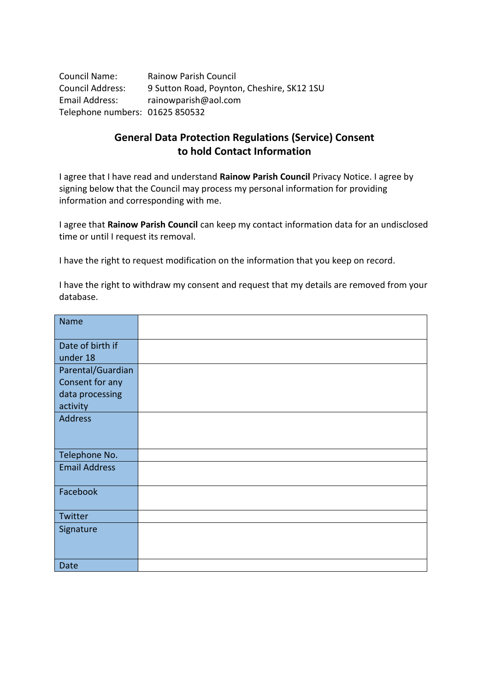Council Name: Rainow Parish Council Council Address: 9 Sutton Road, Poynton, Cheshire, SK12 1SU Email Address: rainowparish@aol.com Telephone numbers: 01625 850532

# **General Data Protection Regulations (Service) Consent to hold Contact Information**

I agree that I have read and understand **Rainow Parish Council** Privacy Notice. I agree by signing below that the Council may process my personal information for providing information and corresponding with me.

I agree that **Rainow Parish Council** can keep my contact information data for an undisclosed time or until I request its removal.

I have the right to request modification on the information that you keep on record.

I have the right to withdraw my consent and request that my details are removed from your database.

| <b>Name</b>          |  |
|----------------------|--|
| Date of birth if     |  |
| under 18             |  |
| Parental/Guardian    |  |
| Consent for any      |  |
| data processing      |  |
| activity             |  |
| <b>Address</b>       |  |
|                      |  |
|                      |  |
| Telephone No.        |  |
| <b>Email Address</b> |  |
|                      |  |
| Facebook             |  |
|                      |  |
| Twitter              |  |
| Signature            |  |
|                      |  |
|                      |  |
| Date                 |  |